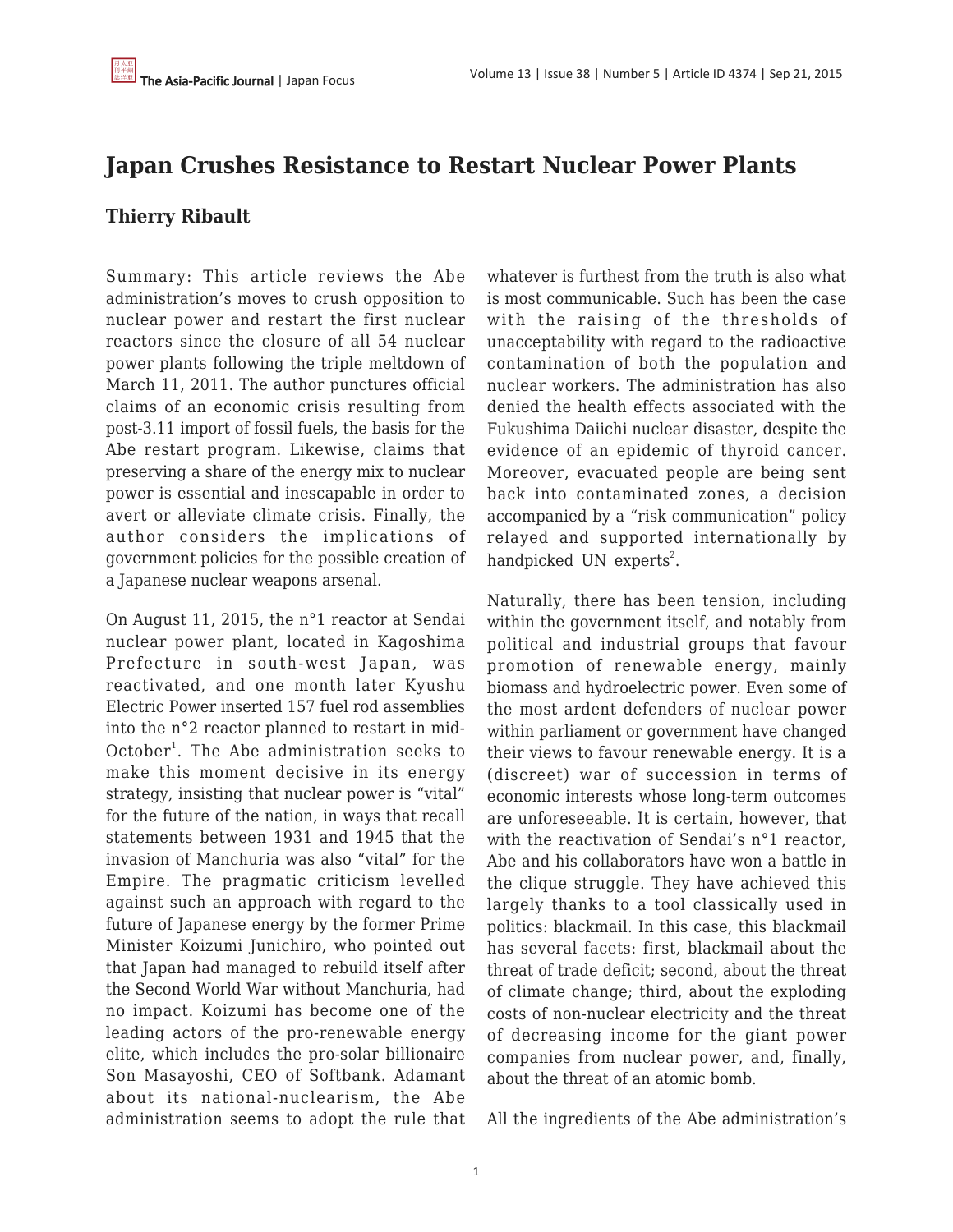# **Japan Crushes Resistance to Restart Nuclear Power Plants**

## **Thierry Ribault**

Summary: This article reviews the Abe administration's moves to crush opposition to nuclear power and restart the first nuclear reactors since the closure of all 54 nuclear power plants following the triple meltdown of March 11, 2011. The author punctures official claims of an economic crisis resulting from post-3.11 import of fossil fuels, the basis for the Abe restart program. Likewise, claims that preserving a share of the energy mix to nuclear power is essential and inescapable in order to avert or alleviate climate crisis. Finally, the author considers the implications of government policies for the possible creation of a Japanese nuclear weapons arsenal.

On August 11, 2015, the n°1 reactor at Sendai nuclear power plant, located in Kagoshima Prefecture in south-west Japan, was reactivated, and one month later Kyushu Electric Power inserted 157 fuel rod assemblies into the n°2 reactor planned to restart in mid-October<sup>1</sup>. The Abe administration seeks to make this moment decisive in its energy strategy, insisting that nuclear power is "vital" for the future of the nation, in ways that recall statements between 1931 and 1945 that the invasion of Manchuria was also "vital" for the Empire. The pragmatic criticism levelled against such an approach with regard to the future of Japanese energy by the former Prime Minister Koizumi Junichiro, who pointed out that Japan had managed to rebuild itself after the Second World War without Manchuria, had no impact. Koizumi has become one of the leading actors of the pro-renewable energy elite, which includes the pro-solar billionaire Son Masayoshi, CEO of Softbank. Adamant about its national-nuclearism, the Abe administration seems to adopt the rule that whatever is furthest from the truth is also what is most communicable. Such has been the case with the raising of the thresholds of unacceptability with regard to the radioactive contamination of both the population and nuclear workers. The administration has also denied the health effects associated with the Fukushima Daiichi nuclear disaster, despite the evidence of an epidemic of thyroid cancer. Moreover, evacuated people are being sent back into contaminated zones, a decision accompanied by a "risk communication" policy relayed and supported internationally by handpicked UN experts<sup>2</sup>.

Naturally, there has been tension, including within the government itself, and notably from political and industrial groups that favour promotion of renewable energy, mainly biomass and hydroelectric power. Even some of the most ardent defenders of nuclear power within parliament or government have changed their views to favour renewable energy. It is a (discreet) war of succession in terms of economic interests whose long-term outcomes are unforeseeable. It is certain, however, that with the reactivation of Sendai's n°1 reactor, Abe and his collaborators have won a battle in the clique struggle. They have achieved this largely thanks to a tool classically used in politics: blackmail. In this case, this blackmail has several facets: first, blackmail about the threat of trade deficit; second, about the threat of climate change; third, about the exploding costs of non-nuclear electricity and the threat of decreasing income for the giant power companies from nuclear power, and, finally, about the threat of an atomic bomb.

All the ingredients of the Abe administration's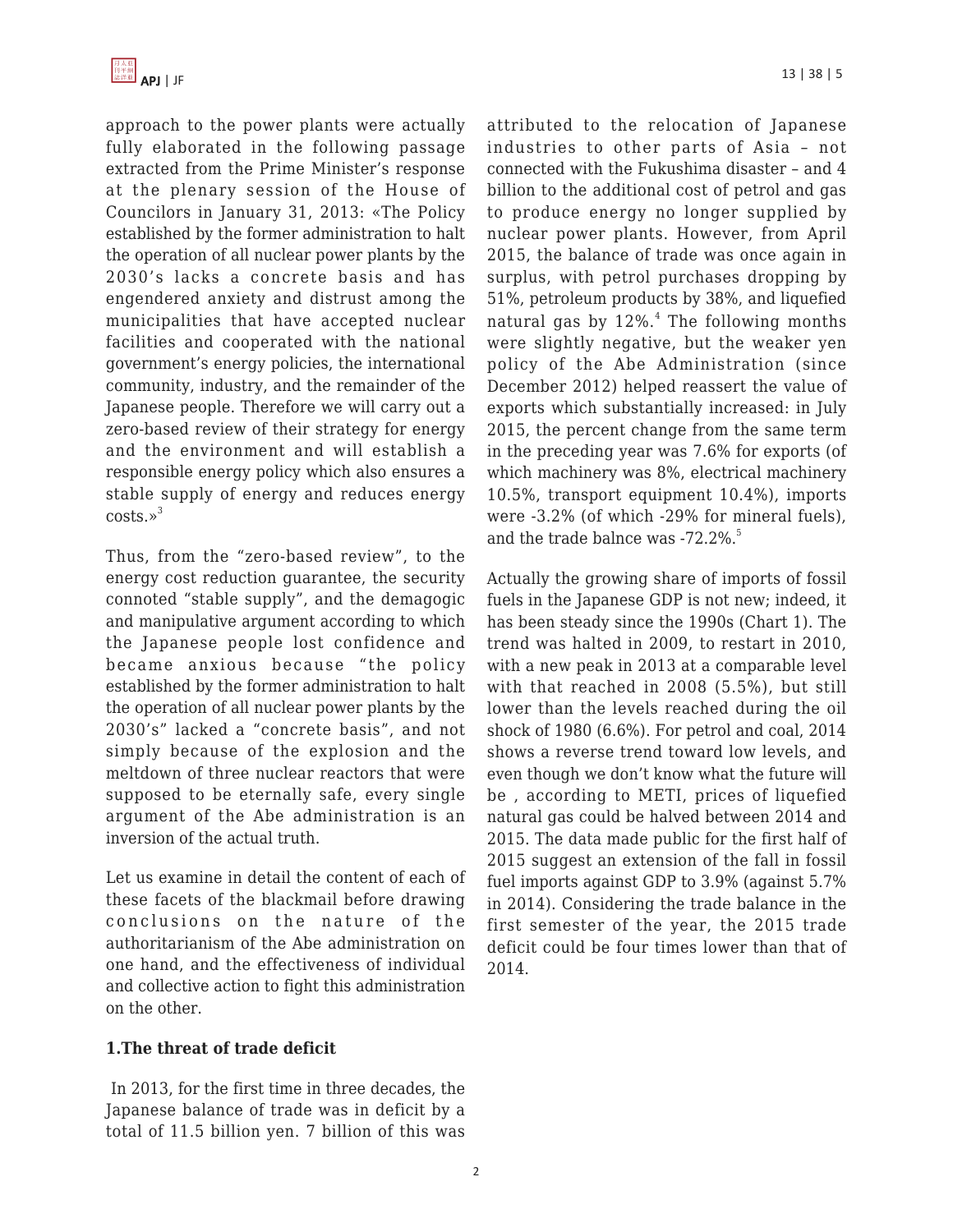approach to the power plants were actually fully elaborated in the following passage extracted from the Prime Minister's response at the plenary session of the House of Councilors in January 31, 2013: «The Policy established by the former administration to halt the operation of all nuclear power plants by the 2030's lacks a concrete basis and has engendered anxiety and distrust among the municipalities that have accepted nuclear facilities and cooperated with the national government's energy policies, the international community, industry, and the remainder of the Japanese people. Therefore we will carry out a zero-based review of their strategy for energy and the environment and will establish a responsible energy policy which also ensures a stable supply of energy and reduces energy  $costs.$ <sup>3</sup>

Thus, from the "zero-based review", to the energy cost reduction guarantee, the security connoted "stable supply", and the demagogic and manipulative argument according to which the Japanese people lost confidence and became anxious because "the policy established by the former administration to halt the operation of all nuclear power plants by the 2030's" lacked a "concrete basis", and not simply because of the explosion and the meltdown of three nuclear reactors that were supposed to be eternally safe, every single argument of the Abe administration is an inversion of the actual truth.

Let us examine in detail the content of each of these facets of the blackmail before drawing conclusions on the nature of the authoritarianism of the Abe administration on one hand, and the effectiveness of individual and collective action to fight this administration on the other.

### **1.The threat of trade deficit**

In 2013, for the first time in three decades, the Japanese balance of trade was in deficit by a total of 11.5 billion yen. 7 billion of this was attributed to the relocation of Japanese industries to other parts of Asia – not connected with the Fukushima disaster – and 4 billion to the additional cost of petrol and gas to produce energy no longer supplied by nuclear power plants. However, from April 2015, the balance of trade was once again in surplus, with petrol purchases dropping by 51%, petroleum products by 38%, and liquefied natural gas by 12%.<sup>4</sup> The following months were slightly negative, but the weaker yen policy of the Abe Administration (since December 2012) helped reassert the value of exports which substantially increased: in July 2015, the percent change from the same term in the preceding year was 7.6% for exports (of which machinery was 8%, electrical machinery 10.5%, transport equipment 10.4%), imports were -3.2% (of which -29% for mineral fuels), and the trade balnce was  $-72.2\%$ .<sup>5</sup>

Actually the growing share of imports of fossil fuels in the Japanese GDP is not new; indeed, it has been steady since the 1990s (Chart 1). The trend was halted in 2009, to restart in 2010, with a new peak in 2013 at a comparable level with that reached in 2008 (5.5%), but still lower than the levels reached during the oil shock of 1980 (6.6%). For petrol and coal, 2014 shows a reverse trend toward low levels, and even though we don't know what the future will be , according to METI, prices of liquefied natural gas could be halved between 2014 and 2015. The data made public for the first half of 2015 suggest an extension of the fall in fossil fuel imports against GDP to 3.9% (against 5.7% in 2014). Considering the trade balance in the first semester of the year, the 2015 trade deficit could be four times lower than that of 2014.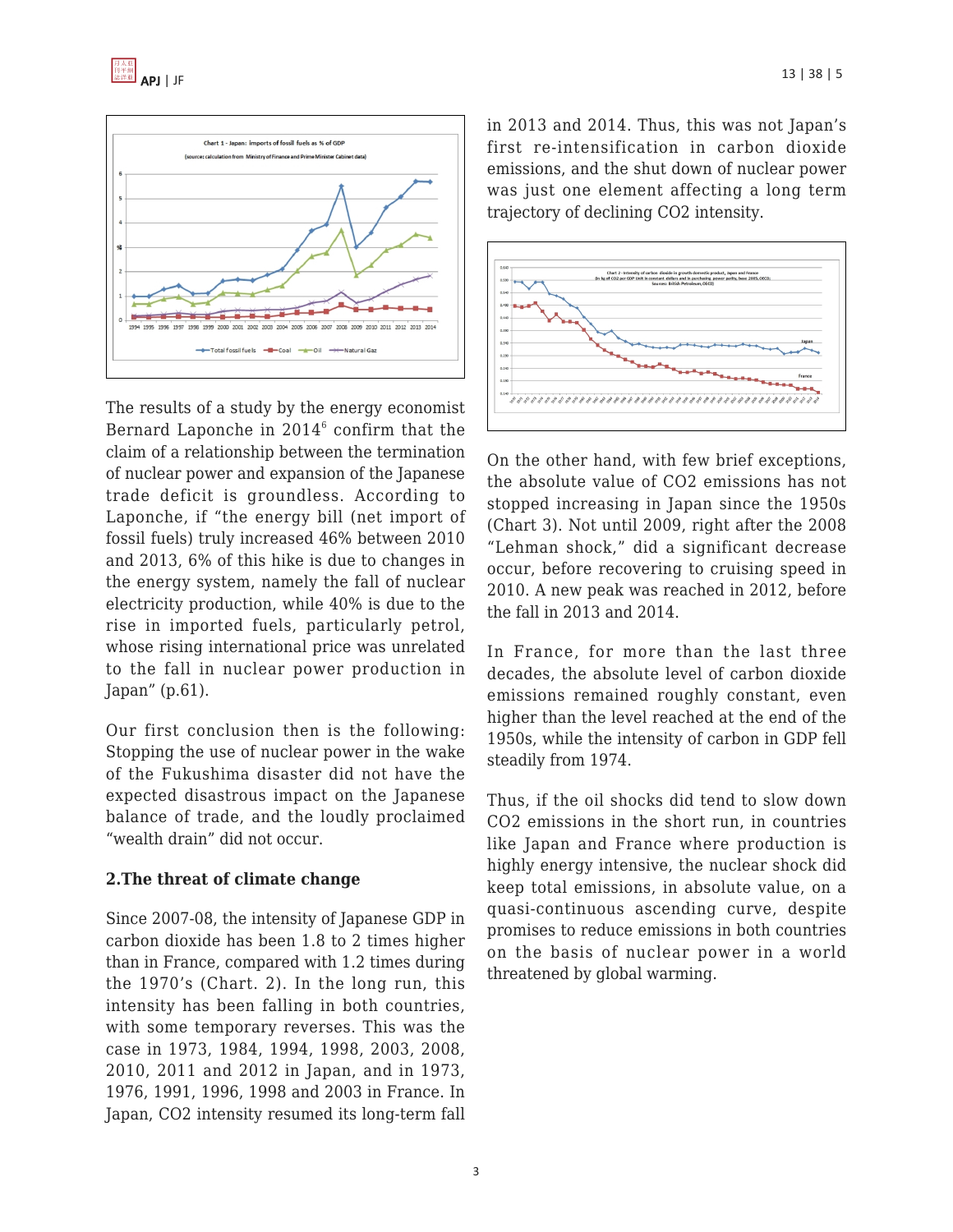



The results of a study by the energy economist Bernard Laponche in  $2014^6$  confirm that the claim of a relationship between the termination of nuclear power and expansion of the Japanese trade deficit is groundless. According to Laponche, if "the energy bill (net import of fossil fuels) truly increased 46% between 2010 and 2013, 6% of this hike is due to changes in the energy system, namely the fall of nuclear electricity production, while 40% is due to the rise in imported fuels, particularly petrol, whose rising international price was unrelated to the fall in nuclear power production in Japan" (p.61).

Our first conclusion then is the following: Stopping the use of nuclear power in the wake of the Fukushima disaster did not have the expected disastrous impact on the Japanese balance of trade, and the loudly proclaimed "wealth drain" did not occur.

#### **2.The threat of climate change**

Since 2007-08, the intensity of Japanese GDP in carbon dioxide has been 1.8 to 2 times higher than in France, compared with 1.2 times during the 1970's (Chart. 2). In the long run, this intensity has been falling in both countries, with some temporary reverses. This was the case in 1973, 1984, 1994, 1998, 2003, 2008, 2010, 2011 and 2012 in Japan, and in 1973, 1976, 1991, 1996, 1998 and 2003 in France. In Japan, CO2 intensity resumed its long-term fall in 2013 and 2014. Thus, this was not Japan's first re-intensification in carbon dioxide emissions, and the shut down of nuclear power was just one element affecting a long term trajectory of declining CO2 intensity.



On the other hand, with few brief exceptions, the absolute value of CO2 emissions has not stopped increasing in Japan since the 1950s (Chart 3). Not until 2009, right after the 2008 "Lehman shock," did a significant decrease occur, before recovering to cruising speed in 2010. A new peak was reached in 2012, before the fall in 2013 and 2014.

In France, for more than the last three decades, the absolute level of carbon dioxide emissions remained roughly constant, even higher than the level reached at the end of the 1950s, while the intensity of carbon in GDP fell steadily from 1974.

Thus, if the oil shocks did tend to slow down CO2 emissions in the short run, in countries like Japan and France where production is highly energy intensive, the nuclear shock did keep total emissions, in absolute value, on a quasi-continuous ascending curve, despite promises to reduce emissions in both countries on the basis of nuclear power in a world threatened by global warming.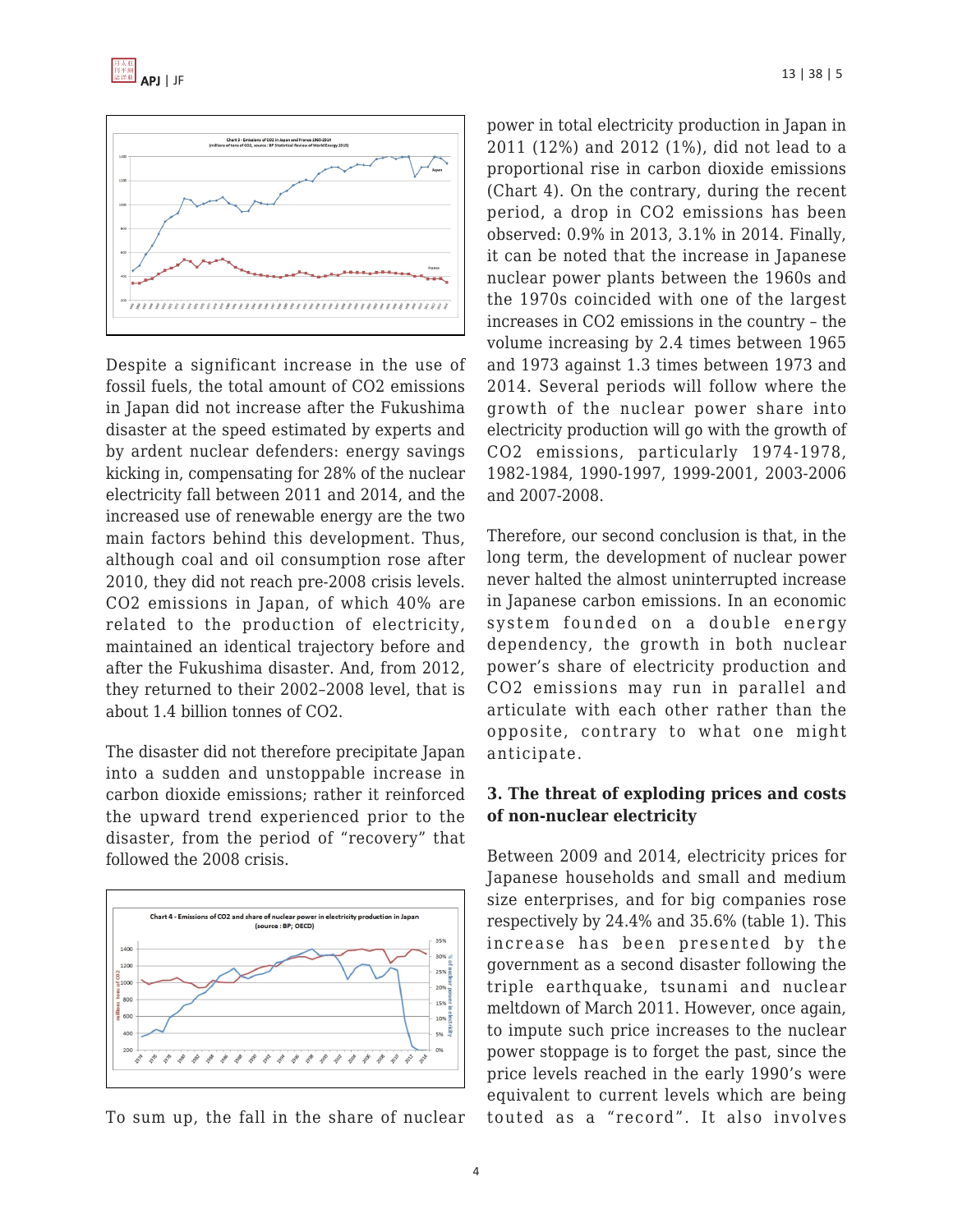



Despite a significant increase in the use of fossil fuels, the total amount of CO2 emissions in Japan did not increase after the Fukushima disaster at the speed estimated by experts and by ardent nuclear defenders: energy savings kicking in, compensating for 28% of the nuclear electricity fall between 2011 and 2014, and the increased use of renewable energy are the two main factors behind this development. Thus, although coal and oil consumption rose after 2010, they did not reach pre-2008 crisis levels. CO2 emissions in Japan, of which 40% are related to the production of electricity, maintained an identical trajectory before and after the Fukushima disaster. And, from 2012, they returned to their 2002–2008 level, that is about 1.4 billion tonnes of CO2.

The disaster did not therefore precipitate Japan into a sudden and unstoppable increase in carbon dioxide emissions; rather it reinforced the upward trend experienced prior to the disaster, from the period of "recovery" that followed the 2008 crisis.



To sum up, the fall in the share of nuclear

power in total electricity production in Japan in 2011 (12%) and 2012 (1%), did not lead to a proportional rise in carbon dioxide emissions (Chart 4). On the contrary, during the recent period, a drop in CO2 emissions has been observed: 0.9% in 2013, 3.1% in 2014. Finally, it can be noted that the increase in Japanese nuclear power plants between the 1960s and the 1970s coincided with one of the largest increases in CO2 emissions in the country – the volume increasing by 2.4 times between 1965 and 1973 against 1.3 times between 1973 and 2014. Several periods will follow where the growth of the nuclear power share into electricity production will go with the growth of CO2 emissions, particularly 1974-1978, 1982-1984, 1990-1997, 1999-2001, 2003-2006 and 2007-2008.

Therefore, our second conclusion is that, in the long term, the development of nuclear power never halted the almost uninterrupted increase in Japanese carbon emissions. In an economic system founded on a double energy dependency, the growth in both nuclear power's share of electricity production and CO2 emissions may run in parallel and articulate with each other rather than the opposite, contrary to what one might anticipate.

#### **3. The threat of exploding prices and costs of non-nuclear electricity**

Between 2009 and 2014, electricity prices for Japanese households and small and medium size enterprises, and for big companies rose respectively by 24.4% and 35.6% (table 1). This increase has been presented by the government as a second disaster following the triple earthquake, tsunami and nuclear meltdown of March 2011. However, once again, to impute such price increases to the nuclear power stoppage is to forget the past, since the price levels reached in the early 1990's were equivalent to current levels which are being touted as a "record". It also involves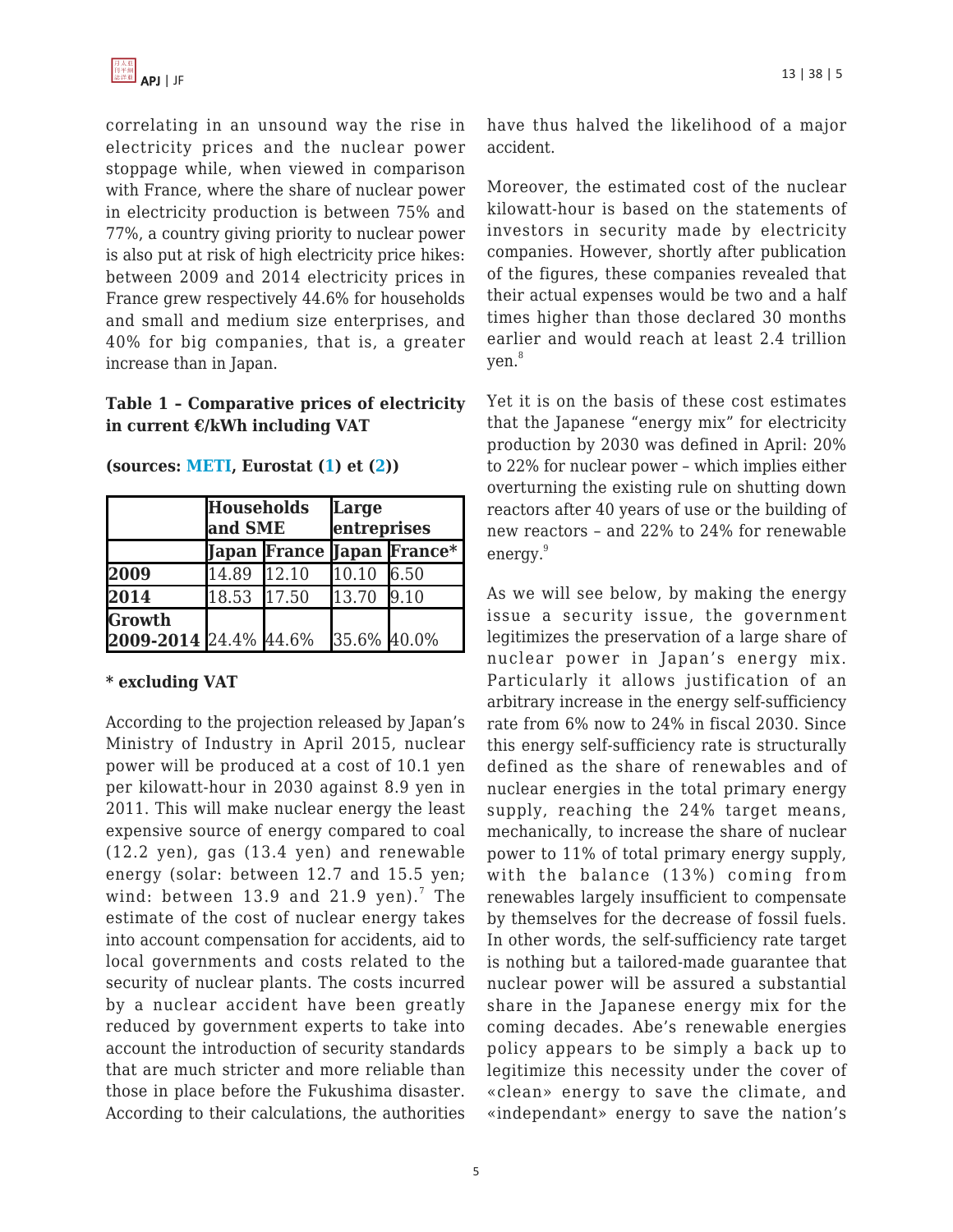

correlating in an unsound way the rise in electricity prices and the nuclear power stoppage while, when viewed in comparison with France, where the share of nuclear power in electricity production is between 75% and 77%, a country giving priority to nuclear power is also put at risk of high electricity price hikes: between 2009 and 2014 electricity prices in France grew respectively 44.6% for households and small and medium size enterprises, and 40% for big companies, that is, a greater increase than in Japan.

### **Table 1 – Comparative prices of electricity in current €/kWh including VAT**

|                                 | <b>Households</b><br>and SME |  | Large<br>entreprises |                            |
|---------------------------------|------------------------------|--|----------------------|----------------------------|
|                                 |                              |  |                      | Japan France Japan France* |
| 2009                            | $14.89$ $12.10$              |  | $10.10$ 6.50         |                            |
| 2014                            | 18.53 17.50                  |  | 13.70 9.10           |                            |
| Growth<br>2009-2014 24.4% 44.6% |                              |  | 35.6% 40.0%          |                            |

**(sources: [METI,](http://www.meti.go.jp/press/2015/07/20150714001/20150714001.html) Eurostat ([1](http://ec.europa.eu/eurostat/statistics-explained/images/1/18/Half-yearly_electricity_and_gas_prices,_second_half_of_year,_2009-2011_(EUR_per_kWh)-fr.png)) et [\(2\)](http://ec.europa.eu/eurostat/statistics-explained/images/6/6e/Half-yearly_electricity_and_gas_prices,_second_half_of_year,_2012–14_(EUR_per_kWh)_YB15.png))**

#### **\* excluding VAT**

According to the projection released by Japan's Ministry of Industry in April 2015, nuclear power will be produced at a cost of 10.1 yen per kilowatt-hour in 2030 against 8.9 yen in 2011. This will make nuclear energy the least expensive source of energy compared to coal (12.2 yen), gas (13.4 yen) and renewable energy (solar: between 12.7 and 15.5 yen; wind: between  $13.9$  and  $21.9$  yen). $^7$  The estimate of the cost of nuclear energy takes into account compensation for accidents, aid to local governments and costs related to the security of nuclear plants. The costs incurred by a nuclear accident have been greatly reduced by government experts to take into account the introduction of security standards that are much stricter and more reliable than those in place before the Fukushima disaster. According to their calculations, the authorities have thus halved the likelihood of a major accident.

Moreover, the estimated cost of the nuclear kilowatt-hour is based on the statements of investors in security made by electricity companies. However, shortly after publication of the figures, these companies revealed that their actual expenses would be two and a half times higher than those declared 30 months earlier and would reach at least 2.4 trillion ven.<sup>8</sup>

Yet it is on the basis of these cost estimates that the Japanese "energy mix" for electricity production by 2030 was defined in April: 20% to 22% for nuclear power – which implies either overturning the existing rule on shutting down reactors after 40 years of use or the building of new reactors – and 22% to 24% for renewable energy.<sup>9</sup>

As we will see below, by making the energy issue a security issue, the government legitimizes the preservation of a large share of nuclear power in Japan's energy mix. Particularly it allows justification of an arbitrary increase in the energy self-sufficiency rate from 6% now to 24% in fiscal 2030. Since this energy self-sufficiency rate is structurally defined as the share of renewables and of nuclear energies in the total primary energy supply, reaching the 24% target means, mechanically, to increase the share of nuclear power to 11% of total primary energy supply, with the balance (13%) coming from renewables largely insufficient to compensate by themselves for the decrease of fossil fuels. In other words, the self-sufficiency rate target is nothing but a tailored-made guarantee that nuclear power will be assured a substantial share in the Japanese energy mix for the coming decades. Abe's renewable energies policy appears to be simply a back up to legitimize this necessity under the cover of «clean» energy to save the climate, and «independant» energy to save the nation's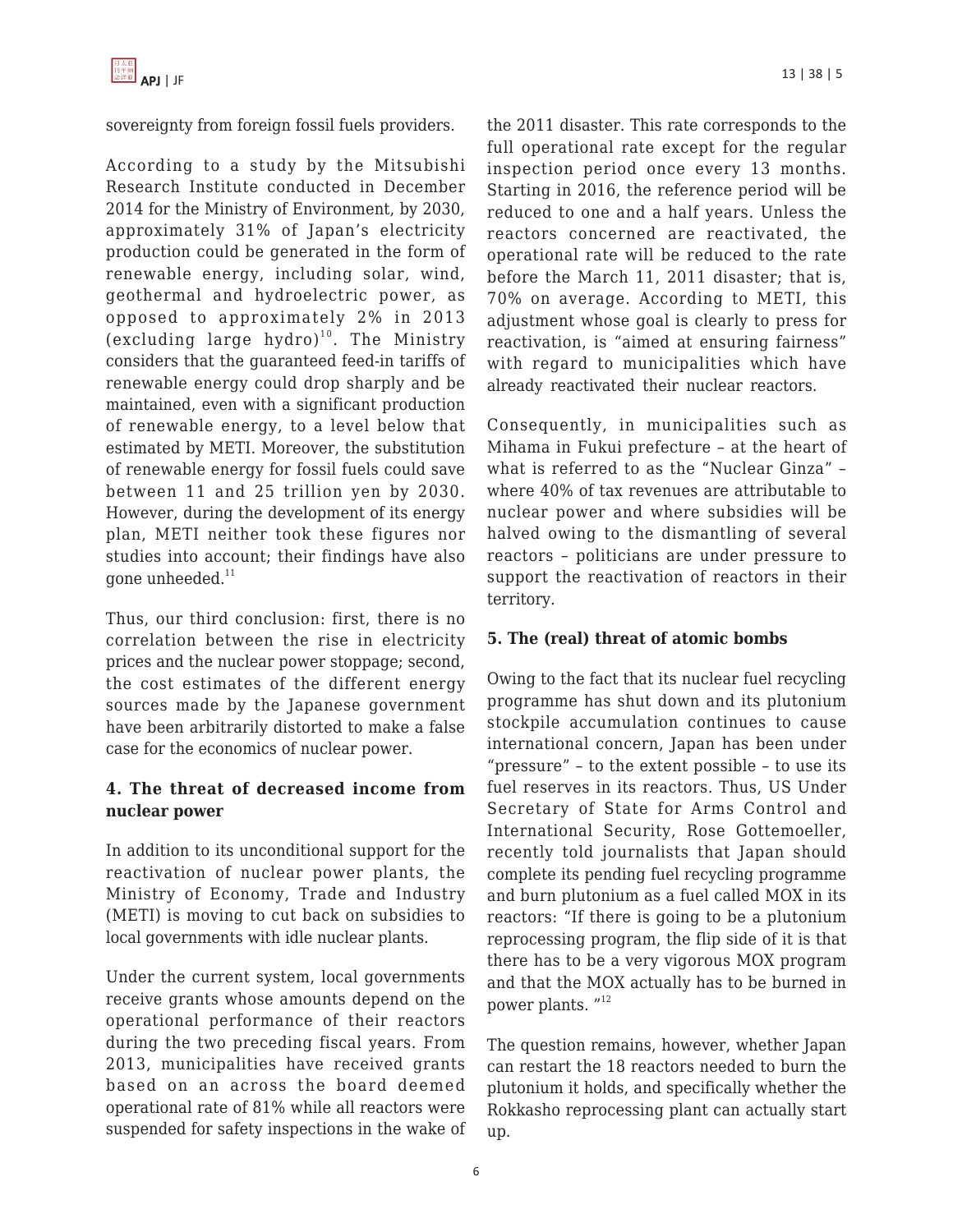sovereignty from foreign fossil fuels providers.

According to a study by the Mitsubishi Research Institute conducted in December 2014 for the Ministry of Environment, by 2030, approximately 31% of Japan's electricity production could be generated in the form of renewable energy, including solar, wind, geothermal and hydroelectric power, as opposed to approximately 2% in 2013 (excluding large hydro)<sup>10</sup>. The Ministry considers that the guaranteed feed-in tariffs of renewable energy could drop sharply and be maintained, even with a significant production of renewable energy, to a level below that estimated by METI. Moreover, the substitution of renewable energy for fossil fuels could save between 11 and 25 trillion yen by 2030. However, during the development of its energy plan, METI neither took these figures nor studies into account; their findings have also gone unheeded.<sup>11</sup>

Thus, our third conclusion: first, there is no correlation between the rise in electricity prices and the nuclear power stoppage; second, the cost estimates of the different energy sources made by the Japanese government have been arbitrarily distorted to make a false case for the economics of nuclear power.

## **4. The threat of decreased income from nuclear power**

In addition to its unconditional support for the reactivation of nuclear power plants, the Ministry of Economy, Trade and Industry (METI) is moving to cut back on subsidies to local governments with idle nuclear plants.

Under the current system, local governments receive grants whose amounts depend on the operational performance of their reactors during the two preceding fiscal years. From 2013, municipalities have received grants based on an across the board deemed operational rate of 81% while all reactors were suspended for safety inspections in the wake of full operational rate except for the regular inspection period once every 13 months. Starting in 2016, the reference period will be reduced to one and a half years. Unless the reactors concerned are reactivated, the operational rate will be reduced to the rate before the March 11, 2011 disaster; that is, 70% on average. According to METI, this adjustment whose goal is clearly to press for reactivation, is "aimed at ensuring fairness" with regard to municipalities which have already reactivated their nuclear reactors.

Consequently, in municipalities such as Mihama in Fukui prefecture – at the heart of what is referred to as the "Nuclear Ginza" – where 40% of tax revenues are attributable to nuclear power and where subsidies will be halved owing to the dismantling of several reactors – politicians are under pressure to support the reactivation of reactors in their territory.

### **5. The (real) threat of atomic bombs**

Owing to the fact that its nuclear fuel recycling programme has shut down and its plutonium stockpile accumulation continues to cause international concern, Japan has been under "pressure" – to the extent possible – to use its fuel reserves in its reactors. Thus, US Under Secretary of State for Arms Control and International Security, Rose Gottemoeller, recently told journalists that Japan should complete its pending fuel recycling programme and burn plutonium as a fuel called MOX in its reactors: "If there is going to be a plutonium reprocessing program, the flip side of it is that there has to be a very vigorous MOX program and that the MOX actually has to be burned in power plants. "<sup>12</sup>

The question remains, however, whether Japan can restart the 18 reactors needed to burn the plutonium it holds, and specifically whether the Rokkasho reprocessing plant can actually start up.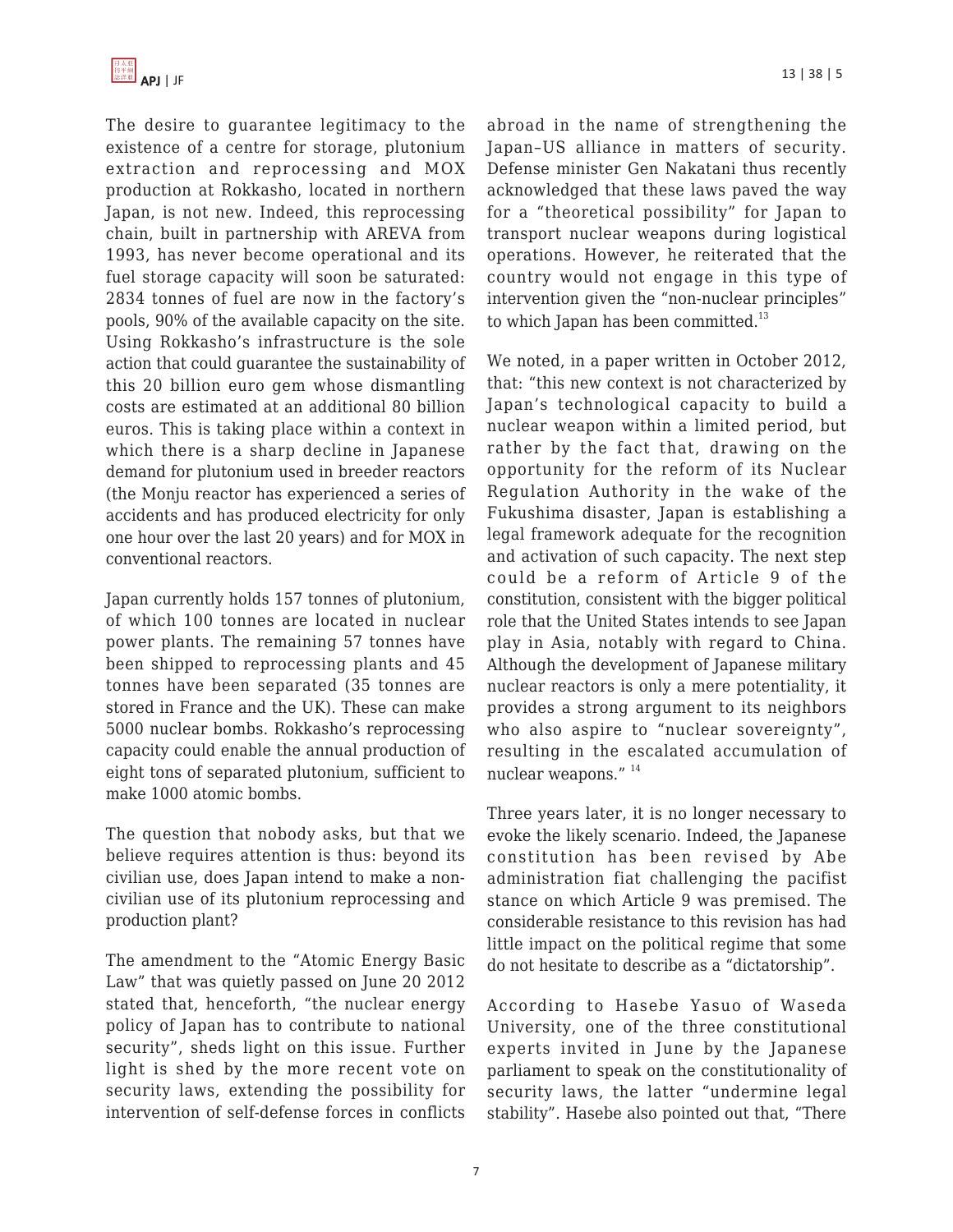

The desire to guarantee legitimacy to the existence of a centre for storage, plutonium extraction and reprocessing and MOX production at Rokkasho, located in northern Japan, is not new. Indeed, this reprocessing chain, built in partnership with AREVA from 1993, has never become operational and its fuel storage capacity will soon be saturated: 2834 tonnes of fuel are now in the factory's pools, 90% of the available capacity on the site. Using Rokkasho's infrastructure is the sole action that could guarantee the sustainability of this 20 billion euro gem whose dismantling costs are estimated at an additional 80 billion euros. This is taking place within a context in which there is a sharp decline in Japanese demand for plutonium used in breeder reactors (the Monju reactor has experienced a series of accidents and has produced electricity for only one hour over the last 20 years) and for MOX in conventional reactors.

Japan currently holds 157 tonnes of plutonium, of which 100 tonnes are located in nuclear power plants. The remaining 57 tonnes have been shipped to reprocessing plants and 45 tonnes have been separated (35 tonnes are stored in France and the UK). These can make 5000 nuclear bombs. Rokkasho's reprocessing capacity could enable the annual production of eight tons of separated plutonium, sufficient to make 1000 atomic bombs.

The question that nobody asks, but that we believe requires attention is thus: beyond its civilian use, does Japan intend to make a noncivilian use of its plutonium reprocessing and production plant?

The amendment to the "Atomic Energy Basic Law" that was quietly passed on June 20 2012 stated that, henceforth, "the nuclear energy policy of Japan has to contribute to national security", sheds light on this issue. Further light is shed by the more recent vote on security laws, extending the possibility for intervention of self-defense forces in conflicts abroad in the name of strengthening the Japan–US alliance in matters of security. Defense minister Gen Nakatani thus recently acknowledged that these laws paved the way for a "theoretical possibility" for Japan to transport nuclear weapons during logistical operations. However, he reiterated that the country would not engage in this type of intervention given the "non-nuclear principles" to which Japan has been committed. $^{13}$ 

We noted, in a paper written in October 2012, that: "this new context is not characterized by Japan's technological capacity to build a nuclear weapon within a limited period, but rather by the fact that, drawing on the opportunity for the reform of its Nuclear Regulation Authority in the wake of the Fukushima disaster, Japan is establishing a legal framework adequate for the recognition and activation of such capacity. The next step could be a reform of Article 9 of the constitution, consistent with the bigger political role that the United States intends to see Japan play in Asia, notably with regard to China. Although the development of Japanese military nuclear reactors is only a mere potentiality, it provides a strong argument to its neighbors who also aspire to "nuclear sovereignty", resulting in the escalated accumulation of nuclear weapons." 14

Three years later, it is no longer necessary to evoke the likely scenario. Indeed, the Japanese constitution has been revised by Abe administration fiat challenging the pacifist stance on which Article 9 was premised. The considerable resistance to this revision has had little impact on the political regime that some do not hesitate to describe as a "dictatorship".

According to Hasebe Yasuo of Waseda University, one of the three constitutional experts invited in June by the Japanese parliament to speak on the constitutionality of security laws, the latter "undermine legal stability". Hasebe also pointed out that, "There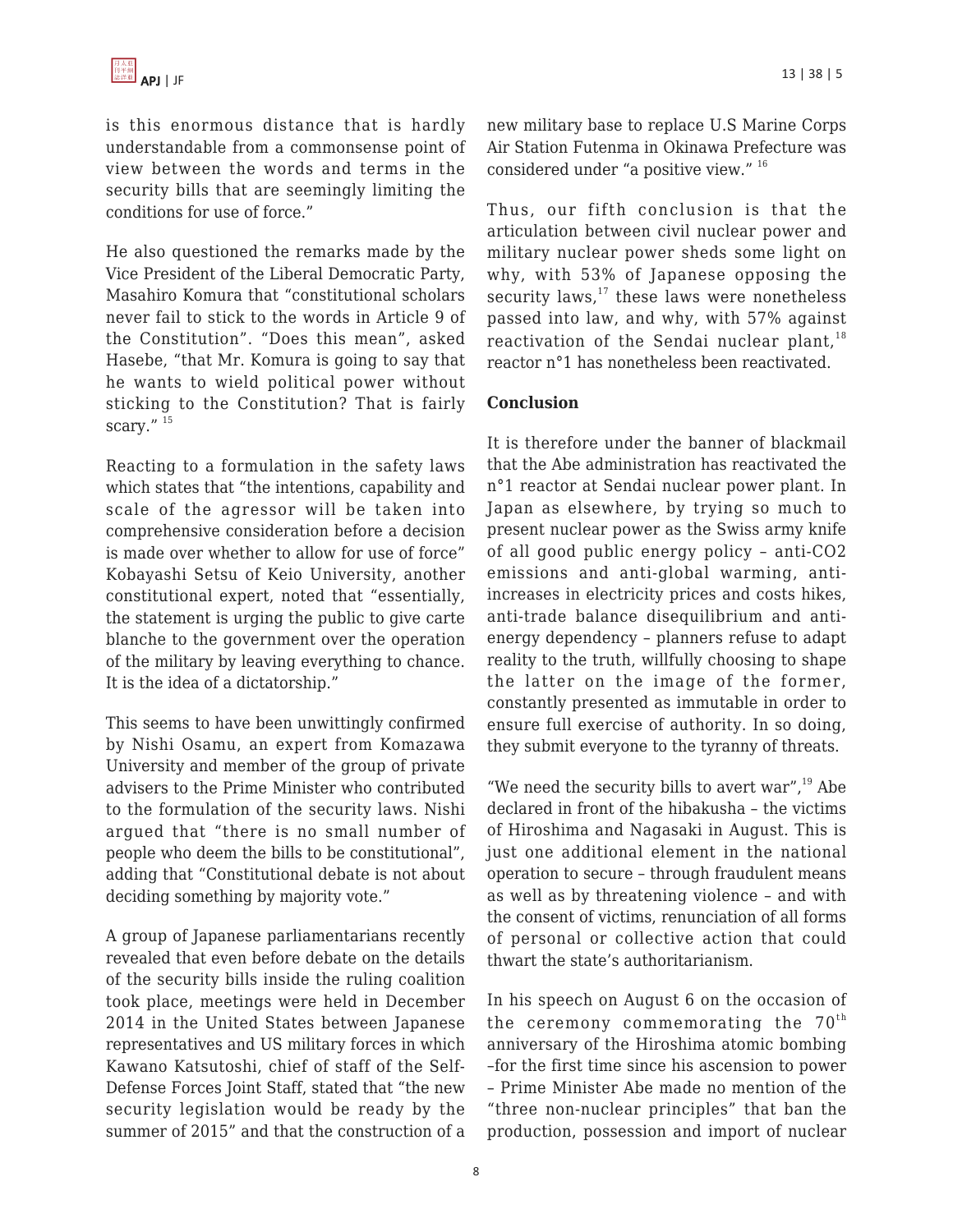is this enormous distance that is hardly understandable from a commonsense point of view between the words and terms in the security bills that are seemingly limiting the conditions for use of force."

He also questioned the remarks made by the Vice President of the Liberal Democratic Party, Masahiro Komura that "constitutional scholars never fail to stick to the words in Article 9 of the Constitution". "Does this mean", asked Hasebe, "that Mr. Komura is going to say that he wants to wield political power without sticking to the Constitution? That is fairly scary."<sup>15</sup>

Reacting to a formulation in the safety laws which states that "the intentions, capability and scale of the agressor will be taken into comprehensive consideration before a decision is made over whether to allow for use of force" Kobayashi Setsu of Keio University, another constitutional expert, noted that "essentially, the statement is urging the public to give carte blanche to the government over the operation of the military by leaving everything to chance. It is the idea of a dictatorship."

This seems to have been unwittingly confirmed by Nishi Osamu, an expert from Komazawa University and member of the group of private advisers to the Prime Minister who contributed to the formulation of the security laws. Nishi argued that "there is no small number of people who deem the bills to be constitutional", adding that "Constitutional debate is not about deciding something by majority vote."

A group of Japanese parliamentarians recently revealed that even before debate on the details of the security bills inside the ruling coalition took place, meetings were held in December 2014 in the United States between Japanese representatives and US military forces in which Kawano Katsutoshi, chief of staff of the Self-Defense Forces Joint Staff, stated that "the new security legislation would be ready by the summer of 2015" and that the construction of a new military base to replace U.S Marine Corps Air Station Futenma in Okinawa Prefecture was considered under "a positive view." <sup>16</sup>

Thus, our fifth conclusion is that the articulation between civil nuclear power and military nuclear power sheds some light on why, with 53% of Japanese opposing the security laws, $17$  these laws were nonetheless passed into law, and why, with 57% against reactivation of the Sendai nuclear plant,  $18$ reactor n°1 has nonetheless been reactivated.

### **Conclusion**

It is therefore under the banner of blackmail that the Abe administration has reactivated the n°1 reactor at Sendai nuclear power plant. In Japan as elsewhere, by trying so much to present nuclear power as the Swiss army knife of all good public energy policy – anti-CO2 emissions and anti-global warming, antiincreases in electricity prices and costs hikes, anti-trade balance disequilibrium and antienergy dependency – planners refuse to adapt reality to the truth, willfully choosing to shape the latter on the image of the former, constantly presented as immutable in order to ensure full exercise of authority. In so doing, they submit everyone to the tyranny of threats.

"We need the security bills to avert war", $19$  Abe declared in front of the hibakusha – the victims of Hiroshima and Nagasaki in August. This is just one additional element in the national operation to secure – through fraudulent means as well as by threatening violence – and with the consent of victims, renunciation of all forms of personal or collective action that could thwart the state's authoritarianism.

In his speech on August 6 on the occasion of the ceremony commemorating the  $70<sup>th</sup>$ anniversary of the Hiroshima atomic bombing –for the first time since his ascension to power – Prime Minister Abe made no mention of the "three non-nuclear principles" that ban the production, possession and import of nuclear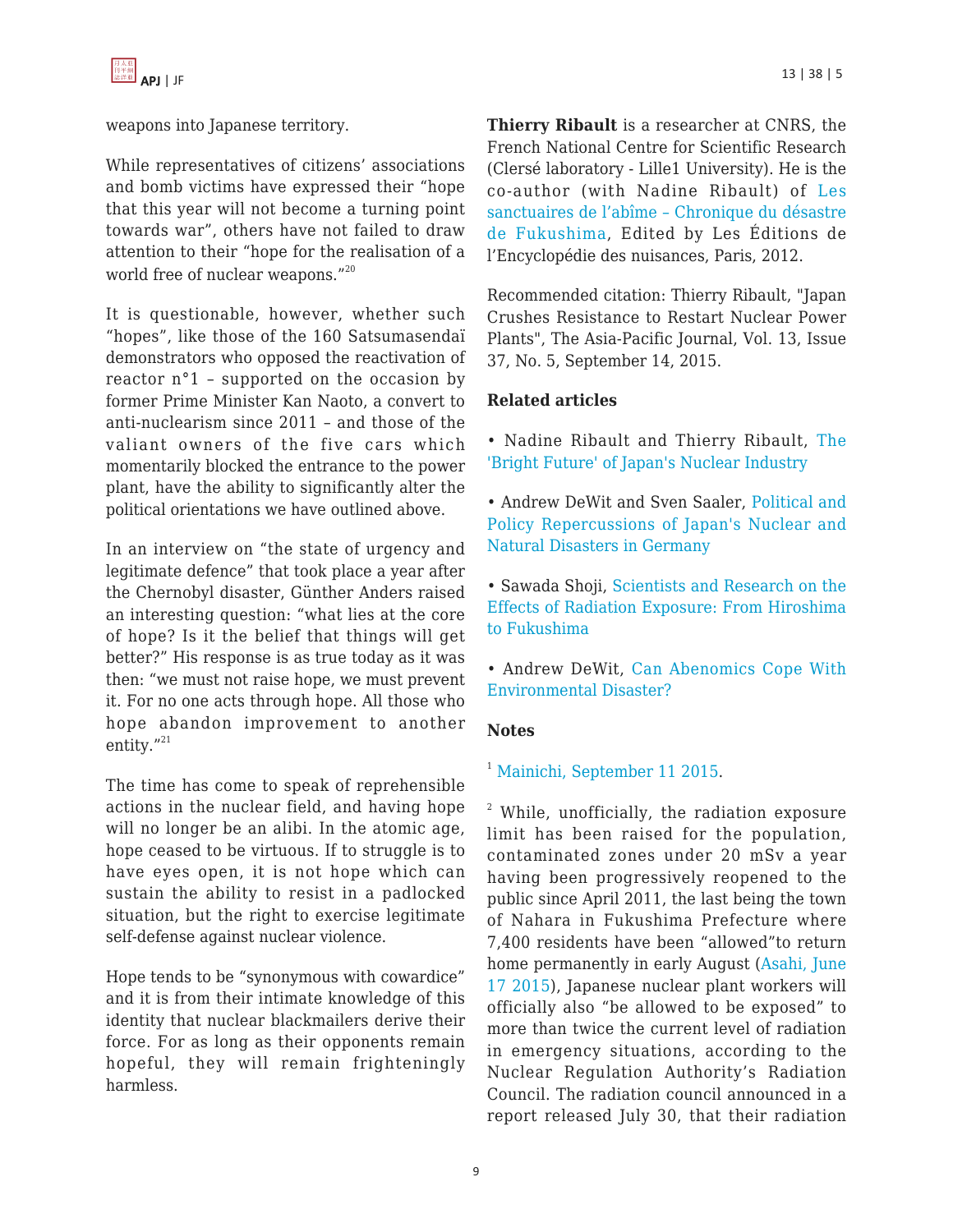weapons into Japanese territory.

While representatives of citizens' associations and bomb victims have expressed their "hope that this year will not become a turning point towards war", others have not failed to draw attention to their "hope for the realisation of a world free of nuclear weapons."<sup>20</sup>

It is questionable, however, whether such "hopes", like those of the 160 Satsumasendaï demonstrators who opposed the reactivation of reactor n°1 – supported on the occasion by former Prime Minister Kan Naoto, a convert to anti-nuclearism since 2011 – and those of the valiant owners of the five cars which momentarily blocked the entrance to the power plant, have the ability to significantly alter the political orientations we have outlined above.

In an interview on "the state of urgency and legitimate defence" that took place a year after the Chernobyl disaster, Günther Anders raised an interesting question: "what lies at the core of hope? Is it the belief that things will get better?" His response is as true today as it was then: "we must not raise hope, we must prevent it. For no one acts through hope. All those who hope abandon improvement to another entity."21

The time has come to speak of reprehensible actions in the nuclear field, and having hope will no longer be an alibi. In the atomic age, hope ceased to be virtuous. If to struggle is to have eyes open, it is not hope which can sustain the ability to resist in a padlocked situation, but the right to exercise legitimate self-defense against nuclear violence.

Hope tends to be "synonymous with cowardice" and it is from their intimate knowledge of this identity that nuclear blackmailers derive their force. For as long as their opponents remain hopeful, they will remain frighteningly harmless.

**Thierry Ribault** is a researcher at CNRS, the French National Centre for Scientific Research (Clersé laboratory - Lille1 University). He is the co-author (with Nadine Ribault) of [Les](http://www.bldd.fr/Store/ProductDetail.asp?Editeur=NUI&action=search&ShowNew=False&pagenumber=2&CodeEAN13=9782910386405) [sanctuaires de l'abîme – Chronique du désastre](http://www.bldd.fr/Store/ProductDetail.asp?Editeur=NUI&action=search&ShowNew=False&pagenumber=2&CodeEAN13=9782910386405) [de Fukushima](http://www.bldd.fr/Store/ProductDetail.asp?Editeur=NUI&action=search&ShowNew=False&pagenumber=2&CodeEAN13=9782910386405), Edited by Les Éditions de l'Encyclopédie des nuisances, Paris, 2012.

Recommended citation: Thierry Ribault, "Japan Crushes Resistance to Restart Nuclear Power Plants", The Asia-Pacific Journal, Vol. 13, Issue 37, No. 5, September 14, 2015.

## **Related articles**

- Nadine Ribault and Thierry Ribault, [The](https://apjjf.org/-Thierry-Ribault/3834/article.html) ['Bright Future' of Japan's Nuclear Industry](https://apjjf.org/-Thierry-Ribault/3834/article.html)
- Andrew DeWit and Sven Saaler, [Political and](https://apjjf.org/-Andrew-DeWit/3525) [Policy Repercussions of Japan's Nuclear and](https://apjjf.org/-Andrew-DeWit/3525) [Natural Disasters in Germany](https://apjjf.org/-Andrew-DeWit/3525)
- Sawada Shoji, [Scientists and Research on the](https://apjjf.org/-Sawada-Shoji/3952/article.html) [Effects of Radiation Exposure: From Hiroshima](https://apjjf.org/-Sawada-Shoji/3952/article.html) [to Fukushima](https://apjjf.org/-Sawada-Shoji/3952/article.html)
- Andrew DeWit, [Can Abenomics Cope With](https://apjjf.org/-Andrew-DeWit/4016) [Environmental Disaster?](https://apjjf.org/-Andrew-DeWit/4016)

## **Notes**

# <sup>1</sup> [Mainichi, September 11 2015.](http://mainichi.jp/english/english/newsselect/news/20150911p2g00m0dm004000c.html)

 $2$  While, unofficially, the radiation exposure limit has been raised for the population, contaminated zones under 20 mSv a year having been progressively reopened to the public since April 2011, the last being the town of Nahara in Fukushima Prefecture where 7,400 residents have been "allowed"to return home permanently in early August [\(Asahi, June](http://ajw.asahi.com/article/0311disaster/fukushima/AJ201506170090) [17 2015\)](http://ajw.asahi.com/article/0311disaster/fukushima/AJ201506170090), Japanese nuclear plant workers will officially also "be allowed to be exposed" to more than twice the current level of radiation in emergency situations, according to the Nuclear Regulation Authority's Radiation Council. The radiation council announced in a report released July 30, that their radiation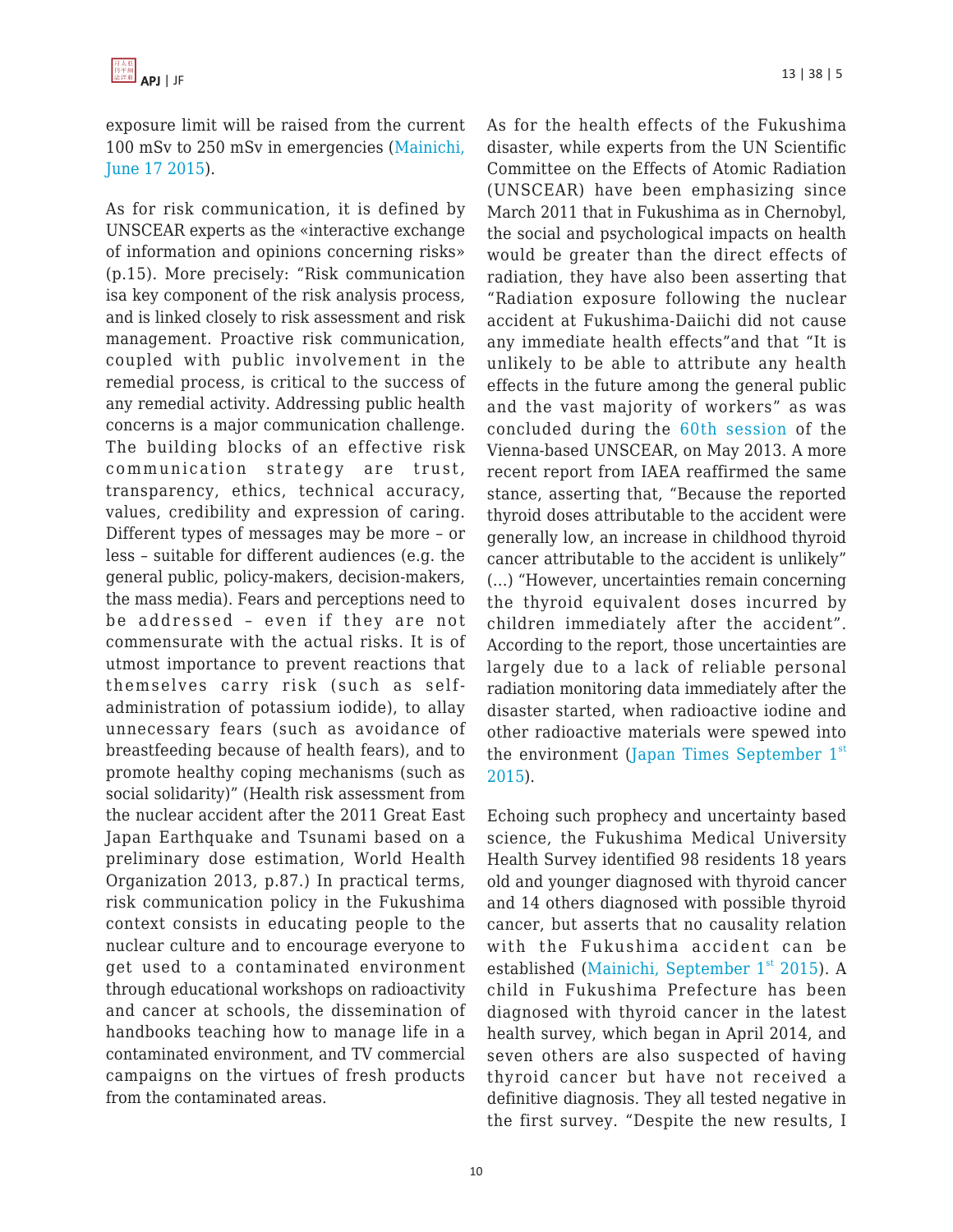exposure limit will be raised from the current 100 mSv to 250 mSv in emergencies ([Mainichi,](http://mainichi.jp/english/english/newsselect/news/20150630p2a00m0na018000c.html) [June 17 2015\)](http://mainichi.jp/english/english/newsselect/news/20150630p2a00m0na018000c.html).

As for risk communication, it is defined by UNSCEAR experts as the «interactive exchange of information and opinions concerning risks» (p.15). More precisely: "Risk communication isa key component of the risk analysis process, and is linked closely to risk assessment and risk management. Proactive risk communication, coupled with public involvement in the remedial process, is critical to the success of any remedial activity. Addressing public health concerns is a major communication challenge. The building blocks of an effective risk communication strategy are trust, transparency, ethics, technical accuracy, values, credibility and expression of caring. Different types of messages may be more – or less – suitable for different audiences (e.g. the general public, policy-makers, decision-makers, the mass media). Fears and perceptions need to be addressed – even if they are not commensurate with the actual risks. It is of utmost importance to prevent reactions that themselves carry risk (such as selfadministration of potassium iodide), to allay unnecessary fears (such as avoidance of breastfeeding because of health fears), and to promote healthy coping mechanisms (such as social solidarity)" (Health risk assessment from the nuclear accident after the 2011 Great East Japan Earthquake and Tsunami based on a preliminary dose estimation, World Health Organization 2013, p.87.) In practical terms, risk communication policy in the Fukushima context consists in educating people to the nuclear culture and to encourage everyone to get used to a contaminated environment through educational workshops on radioactivity and cancer at schools, the dissemination of handbooks teaching how to manage life in a contaminated environment, and TV commercial campaigns on the virtues of fresh products from the contaminated areas.

As for the health effects of the Fukushima disaster, while experts from the UN Scientific Committee on the Effects of Atomic Radiation (UNSCEAR) have been emphasizing since March 2011 that in Fukushima as in Chernobyl, the social and psychological impacts on health would be greater than the direct effects of radiation, they have also been asserting that "Radiation exposure following the nuclear accident at Fukushima-Daiichi did not cause any immediate health effects"and that "It is unlikely to be able to attribute any health effects in the future among the general public and the vast majority of workers" as was concluded during the [60th session](http://www.unep.org/NewsCentre/default.aspx?DocumentID=2716&ArticleID=9518#sthash.exGWznT4.dpuf) of the Vienna-based UNSCEAR, on May 2013. A more recent report from IAEA reaffirmed the same stance, asserting that, "Because the reported thyroid doses attributable to the accident were generally low, an increase in childhood thyroid cancer attributable to the accident is unlikely" (…) "However, uncertainties remain concerning the thyroid equivalent doses incurred by children immediately after the accident". According to the report, those uncertainties are largely due to a lack of reliable personal radiation monitoring data immediately after the disaster started, when radioactive iodine and other radioactive materials were spewed into the environment (Japan Times September  $1<sup>st</sup>$  $1<sup>st</sup>$  $1<sup>st</sup>$ [2015](http://www.japantimes.co.jp/news/2015/09/01/national/science-healt…cers-unlikely-rise-extent-radiation-exposure-unclear/#.VfauSigQDKE)).

Echoing such prophecy and uncertainty based science, the Fukushima Medical University Health Survey identified 98 residents 18 years old and younger diagnosed with thyroid cancer and 14 others diagnosed with possible thyroid cancer, but asserts that no causality relation with the Fukushima accident can be e[st](http://mainichi.jp/english/english/newsselect/news/20150901p2a00m0na002000c.html)ablished (Mainichi, September  $1<sup>st</sup>$  [2015](http://mainichi.jp/english/english/newsselect/news/20150901p2a00m0na002000c.html)). A child in Fukushima Prefecture has been diagnosed with thyroid cancer in the latest health survey, which began in April 2014, and seven others are also suspected of having thyroid cancer but have not received a definitive diagnosis. They all tested negative in the first survey. "Despite the new results, I